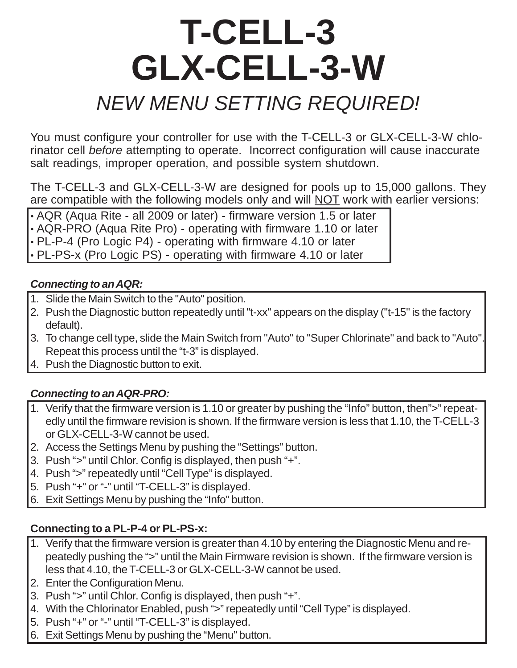# **T-CELL-3 GLX-CELL-3-W** *NEW MENU SETTING REQUIRED!*

You must configure your controller for use with the T-CELL-3 or GLX-CELL-3-W chlorinator cell *before* attempting to operate. Incorrect configuration will cause inaccurate salt readings, improper operation, and possible system shutdown.

The T-CELL-3 and GLX-CELL-3-W are designed for pools up to 15,000 gallons. They are compatible with the following models only and will NOT work with earlier versions:

• AQR (Aqua Rite - all 2009 or later) - firmware version 1.5 or later • AQR-PRO (Aqua Rite Pro) - operating with firmware 1.10 or later • PL-P-4 (Pro Logic P4) - operating with firmware 4.10 or later • PL-PS-x (Pro Logic PS) - operating with firmware 4.10 or later

#### *Connecting to an AQR:*

- 1. Slide the Main Switch to the "Auto" position.
- 2. Push the Diagnostic button repeatedly until "t-xx" appears on the display ("t-15" is the factory default).
- 3. To change cell type, slide the Main Switch from "Auto" to "Super Chlorinate" and back to "Auto". Repeat this process until the "t-3" is displayed.
- 4. Push the Diagnostic button to exit.

#### *Connecting to an AQR-PRO:*

- 1. Verify that the firmware version is 1.10 or greater by pushing the "Info" button, then">" repeatedly until the firmware revision is shown. If the firmware version is less that 1.10, the T-CELL-3 or GLX-CELL-3-W cannot be used.
- 2. Access the Settings Menu by pushing the "Settings" button.
- 3. Push ">" until Chlor. Config is displayed, then push "+".
- 4. Push ">" repeatedly until "Cell Type" is displayed.
- 5. Push "+" or "-" until "T-CELL-3" is displayed.
- 6. Exit Settings Menu by pushing the "Info" button.

#### **Connecting to a PL-P-4 or PL-PS-x:**

- 1. Verify that the firmware version is greater than 4.10 by entering the Diagnostic Menu and repeatedly pushing the ">" until the Main Firmware revision is shown. If the firmware version is less that 4.10, the T-CELL-3 or GLX-CELL-3-W cannot be used.
- 2. Enter the Configuration Menu.
- 3. Push ">" until Chlor. Config is displayed, then push "+".
- 4. With the Chlorinator Enabled, push ">" repeatedly until "Cell Type" is displayed.
- 5. Push "+" or "-" until "T-CELL-3" is displayed.
- 6. Exit Settings Menu by pushing the "Menu" button.